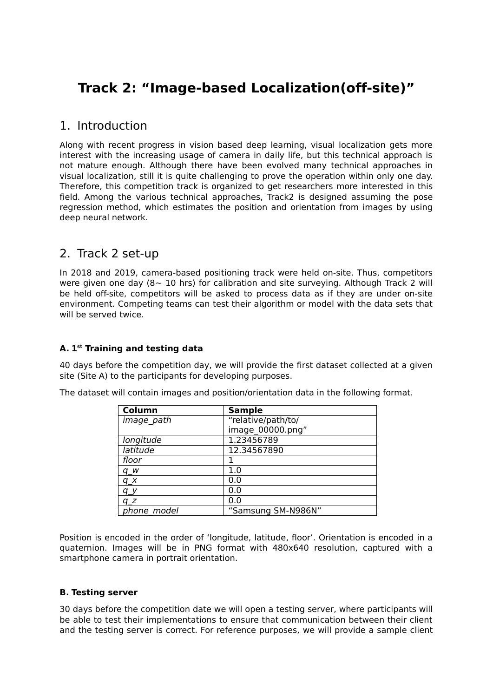# **Track 2: "Image-based Localization(off-site)"**

### 1. Introduction

Along with recent progress in vision based deep learning, visual localization gets more interest with the increasing usage of camera in daily life, but this technical approach is not mature enough. Although there have been evolved many technical approaches in visual localization, still it is quite challenging to prove the operation within only one day. Therefore, this competition track is organized to get researchers more interested in this field. Among the various technical approaches, Track2 is designed assuming the pose regression method, which estimates the position and orientation from images by using deep neural network.

## 2. Track 2 set-up

In 2018 and 2019, camera-based positioning track were held on-site. Thus, competitors were given one day ( $8~10$  hrs) for calibration and site surveying. Although Track 2 will be held off-site, competitors will be asked to process data as if they are under on-site environment. Competing teams can test their algorithm or model with the data sets that will be served twice.

### **A. 1 st Training and testing data**

40 days before the competition day, we will provide the first dataset collected at a given site (Site A) to the participants for developing purposes.

| Column            | <b>Sample</b>      |
|-------------------|--------------------|
| <i>image path</i> | "relative/path/to/ |
|                   | image 00000.pnq"   |
| longitude         | 1.23456789         |
| latitude          | 12.34567890        |
| floor             |                    |
| $q_{W}$           | 1.0                |
| $q_{X}$           | 0.0                |
| a v               | 0.0                |
| $q_z$             | 0.0                |
| phone model       | "Samsung SM-N986N" |

The dataset will contain images and position/orientation data in the following format.

Position is encoded in the order of 'longitude, latitude, floor'. Orientation is encoded in a quaternion. Images will be in PNG format with 480x640 resolution, captured with a smartphone camera in portrait orientation.

#### **B. Testing server**

30 days before the competition date we will open a testing server, where participants will be able to test their implementations to ensure that communication between their client and the testing server is correct. For reference purposes, we will provide a sample client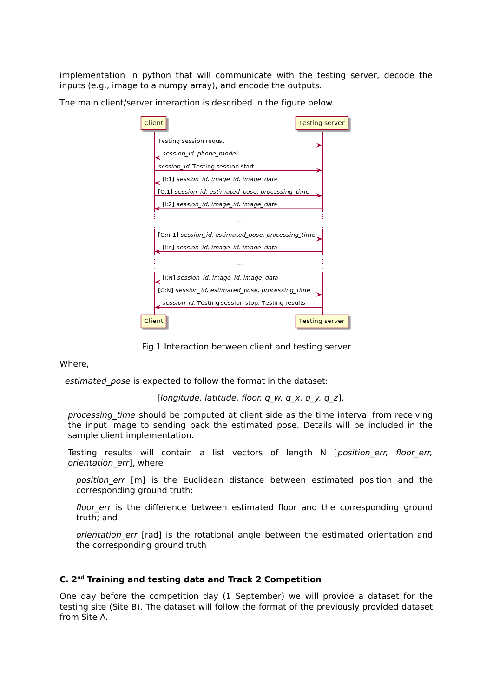implementation in python that will communicate with the testing server, decode the inputs (e.g., image to a numpy array), and encode the outputs.

The main client/server interaction is described in the figure below.

| Client |                                                     | <b>Testing server</b> |  |
|--------|-----------------------------------------------------|-----------------------|--|
|        | Testing session requst                              |                       |  |
|        | session_id, phone_model                             |                       |  |
|        | session id, Testing session start                   |                       |  |
|        | [I:1] session_id, image_id, image_data              |                       |  |
|        | [O:1] session_id, estimated_pose, processing_time   |                       |  |
|        | [I:2] session_id, image_id, image_data              |                       |  |
|        | $\cdots$                                            |                       |  |
|        | [O:n-1] session_id, estimated_pose, processing_time |                       |  |
|        | [I:n] session_id, image_id, image_data              |                       |  |
|        | <b>ALC N</b>                                        |                       |  |
|        | [I:N] session_id, image_id, image_data              |                       |  |
|        | [O:N] session_id, estimated_pose, processing_time   |                       |  |
|        | session_id, Testing session stop, Testing results   |                       |  |
| Client |                                                     | <b>Testing server</b> |  |

Fig.1 Interaction between client and testing server

Where,

estimated pose is expected to follow the format in the dataset:

[longitude, latitude, floor,  $q_w$ ,  $q_x$ ,  $q_y$ ,  $q_z$ ].

processing time should be computed at client side as the time interval from receiving the input image to sending back the estimated pose. Details will be included in the sample client implementation.

Testing results will contain a list vectors of length N [position err, floor err, orientation err], where

position err [m] is the Euclidean distance between estimated position and the corresponding ground truth;

floor err is the difference between estimated floor and the corresponding ground truth; and

orientation err [rad] is the rotational angle between the estimated orientation and the corresponding ground truth

#### **C. 2 nd Training and testing data and Track 2 Competition**

One day before the competition day (1 September) we will provide a dataset for the testing site (Site B). The dataset will follow the format of the previously provided dataset from Site A.